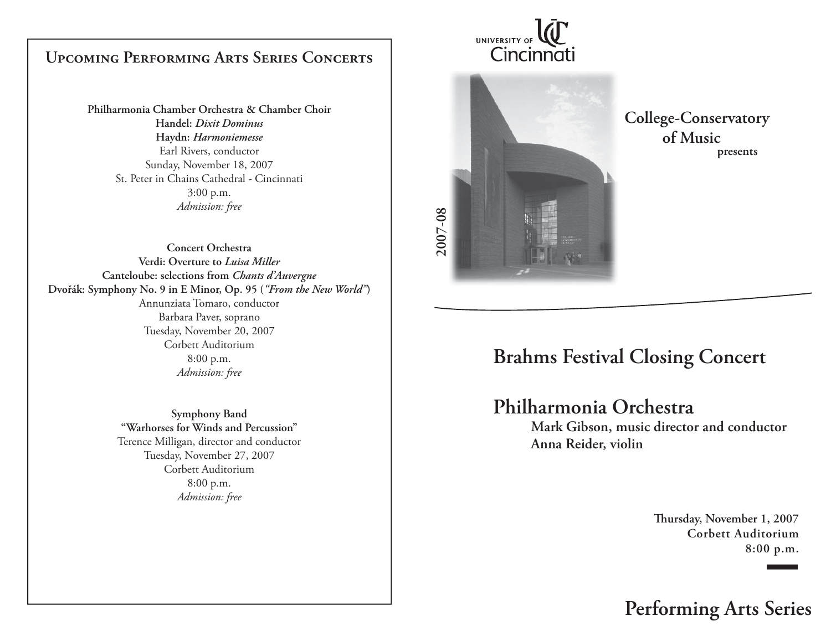## **Upcoming Performing Arts Series Concerts**

**Philharmonia Chamber Orchestra & Chamber Choir Handel:** *Dixit Dominus***Haydn:** *Harmoniemesse* Earl Rivers, conductor Sunday, November 18, 2007 St. Peter in Chains Cathedral - Cincinnati 3:00 p.m. *Admission: free*

**Concert OrchestraVerdi: Overture to** *Luisa Miller***Canteloube: selections from** *Chants d'Auvergne* **Dvořák: Symphony No. 9 in E Minor, Op. 95 (***"From the New World"***)** Annunziata Tomaro, conductor Barbara Paver, soprano Tuesday, November 20, 2007 Corbett Auditorium8:00 p.m. *Admission: free*

> **Symphony Band "Warhorses for Winds and Percussion"** Terence Milligan, director and conductor Tuesday, November 27, 2007 Corbett Auditorium 8:00 p.m. *Admission: free*

UNIVERSITY OF Cincinnati



**College-Conservatory of Musicpresents**

# **Brahms Festival Closing Concert**

## **Philharmonia Orchestra**

 **Mark Gibson, music director and conductor Anna Reider, violin**

> Thursday, November 1, 2007 **Corbett Auditorium8:00 p.m.**

**Performing Arts Series**